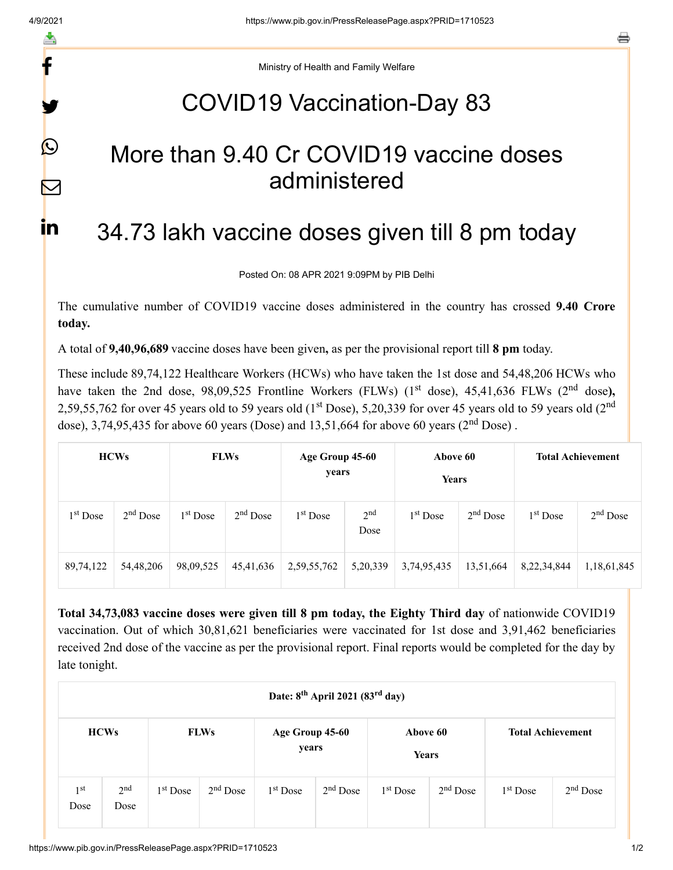f

y

 $\bigcirc$ 

 $\bm{\nabla}$ 

in.

a

Ministry of Health and Family Welfare

## COVID19 Vaccination-Day 83

## More than 9.40 Cr COVID19 vaccine doses administered

## 34.73 lakh vaccine doses given till 8 pm today

Posted On: 08 APR 2021 9:09PM by PIB Delhi

The cumulative number of COVID19 vaccine doses administered in the country has crossed **9.40 Crore today.**

A total of **9,40,96,689** vaccine doses have been given**,** as per the provisional report till **8 pm** today.

These include 89,74,122 Healthcare Workers (HCWs) who have taken the 1st dose and 54,48,206 HCWs who have taken the 2nd dose, 98,09,525 Frontline Workers (FLWs) (1<sup>st</sup> dose), 45,41,636 FLWs (2<sup>nd</sup> dose), 2,59,55,762 for over 45 years old to 59 years old (1<sup>st</sup> Dose), 5,20,339 for over 45 years old to 59 years old (2<sup>nd</sup> dose), 3,74,95,435 for above 60 years (Dose) and  $13,51,664$  for above 60 years ( $2<sup>nd</sup>$  Dose).

| <b>HCWs</b>          |             | <b>FLWs</b>          |            | Age Group 45-60<br>years |                         | Above 60<br>Years    |            | <b>Total Achievement</b> |             |
|----------------------|-------------|----------------------|------------|--------------------------|-------------------------|----------------------|------------|--------------------------|-------------|
| 1 <sup>st</sup> Dose | $2nd$ Dose  | 1 <sup>st</sup> Dose | $2nd$ Dose | 1 <sup>st</sup> Dose     | 2 <sup>nd</sup><br>Dose | 1 <sup>st</sup> Dose | $2nd$ Dose | $1st$ Dose               | $2nd$ Dose  |
| 89,74,122            | 54, 48, 206 | 98,09,525            | 45,41,636  | 2,59,55,762              | 5,20,339                | 3,74,95,435          | 13,51,664  | 8,22,34,844              | 1,18,61,845 |

**Total 34,73,083 vaccine doses were given till 8 pm today, the Eighty Third day** of nationwide COVID19 vaccination. Out of which 30,81,621 beneficiaries were vaccinated for 1st dose and 3,91,462 beneficiaries received 2nd dose of the vaccine as per the provisional report. Final reports would be completed for the day by late tonight.

| Date: 8 <sup>th</sup> April 2021 (83 <sup>rd</sup> day) |                         |            |             |            |                          |            |                   |            |                          |  |
|---------------------------------------------------------|-------------------------|------------|-------------|------------|--------------------------|------------|-------------------|------------|--------------------------|--|
|                                                         | <b>HCWs</b>             |            | <b>FLWs</b> |            | Age Group 45-60<br>years |            | Above 60<br>Years |            | <b>Total Achievement</b> |  |
| 1 <sup>st</sup><br>Dose                                 | 2 <sup>nd</sup><br>Dose | $1st$ Dose | $2nd$ Dose  | $1st$ Dose | $2nd$ Dose               | $1st$ Dose | $2nd$ Dose        | $1st$ Dose | $2nd$ Dose               |  |